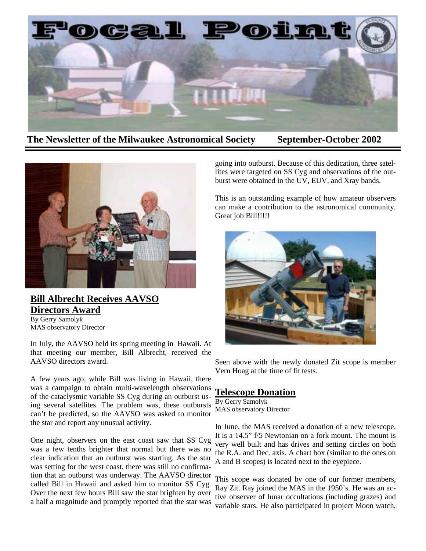

**The Newsletter of the Milwaukee Astronomical Society September-October 2002** 



## **Bill Albrecht Receives AAVSO Directors Award** By Gerry Samolyk

MAS observatory Director

In July, the AAVSO held its spring meeting in Hawaii. At that meeting our member, Bill Albrecht, received the AAVSO directors award.

A few years ago, while Bill was living in Hawaii, there was a campaign to obtain multi-wavelength observations of the cataclysmic variable SS Cyg during an outburst using several satellites. The problem was, these outbursts can't be predicted, so the AAVSO was asked to monitor the star and report any unusual activity.

One night, observers on the east coast saw that SS Cyg was a few tenths brighter that normal but there was no clear indication that an outburst was starting. As the star was setting for the west coast, there was still no confirmation that an outburst was underway. The AAVSO director called Bill in Hawaii and asked him to monitor SS Cyg. Over the next few hours Bill saw the star brighten by over a half a magnitude and promptly reported that the star was

going into outburst. Because of this dedication, three satellites were targeted on SS Cyg and observations of the outburst were obtained in the UV, EUV, and Xray bands.

This is an outstanding example of how amateur observers can make a contribution to the astronomical community. Great job Bill!!!!!



Seen above with the newly donated Zit scope is member Vern Hoag at the time of fit tests.

## **Telescope Donation**

By Gerry Samolyk MAS observatory Director

In June, the MAS received a donation of a new telescope. It is a 14.5" f/5 Newtonian on a fork mount. The mount is very well built and has drives and setting circles on both the R.A. and Dec. axis. A chart box (similar to the ones on A and B scopes) is located next to the eyepiece.

This scope was donated by one of our former members, Ray Zit. Ray joined the MAS in the 1950's. He was an active observer of lunar occultations (including grazes) and variable stars. He also participated in project Moon watch,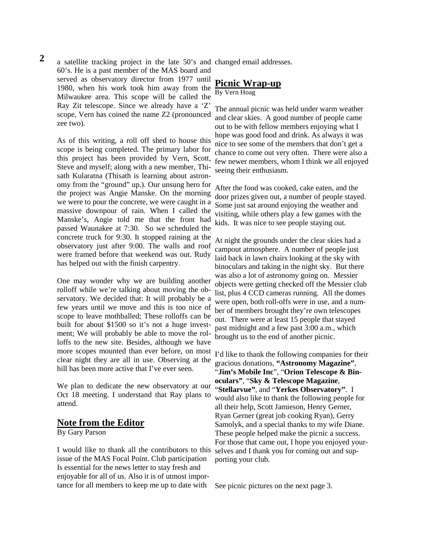2 a satellite tracking project in the late 50's and changed email addresses. 60's. He is a past member of the MAS board and served as observatory director from 1977 until 1980, when his work took him away from the Milwaukee area. This scope will be called the Ray Zit telescope. Since we already have a 'Z' scope, Vern has coined the name Z2 (pronounced zee two).

As of this writing, a roll off shed to house this scope is being completed. The primary labor for this project has been provided by Vern, Scott, Steve and myself; along with a new member, Thisath Kularatna (Thisath is learning about astronomy from the "ground" up.). Our unsung hero for the project was Angie Manske. On the morning we were to pour the concrete, we were caught in a massive downpour of rain. When I called the Manske's, Angie told me that the front had passed Waunakee at 7:30. So we scheduled the concrete truck for 9:30. It stopped raining at the observatory just after 9:00. The walls and roof were framed before that weekend was out. Rudy has helped out with the finish carpentry.

One may wonder why we are building another rolloff while we're talking about moving the observatory. We decided that: It will probably be a few years until we move and this is too nice of scope to leave mothballed; These rolloffs can be built for about \$1500 so it's not a huge investment; We will probably be able to move the rolloffs to the new site. Besides, although we have more scopes mounted than ever before, on most clear night they are all in use. Observing at the hill has been more active that I've ever seen.

We plan to dedicate the new observatory at our Oct 18 meeting. I understand that Ray plans to attend.

### **Note from the Editor**

By Gary Parson

I would like to thank all the contributors to this issue of the MAS Focal Point. Club participation Is essential for the news letter to stay fresh and enjoyable for all of us. Also it is of utmost importance for all members to keep me up to date with

## **Picnic Wrap-up** By Vern Hoag

The annual picnic was held under warm weather and clear skies. A good number of people came out to be with fellow members enjoying what I hope was good food and drink. As always it was nice to see some of the members that don't get a chance to come out very often. There were also a few newer members, whom I think we all enjoyed seeing their enthusiasm.

After the food was cooked, cake eaten, and the door prizes given out, a number of people stayed. Some just sat around enjoying the weather and visiting, while others play a few games with the kids. It was nice to see people staying out.

At night the grounds under the clear skies had a campout atmosphere. A number of people just laid back in lawn chairs looking at the sky with binoculars and taking in the night sky. But there was also a lot of astronomy going on. Messier objects were getting checked off the Messier club list, plus 4 CCD cameras running. All the domes were open, both roll-offs were in use, and a number of members brought they're own telescopes out. There were at least 15 people that stayed past midnight and a few past 3:00 a.m., which brought us to the end of another picnic.

I'd like to thank the following companies for their gracious donations, **"Astronomy Magazine"**, "**Jim's Mobile Inc**", "**Orion Telescope & Binoculars"**, "**Sky & Telescope Magazine**, "**Stellarvue"**, and "**Yerkes Observatory"**. I would also like to thank the following people for all their help, Scott Jamieson, Henry Gerner, Ryan Gerner (great job cooking Ryan), Gerry Samolyk, and a special thanks to my wife Diane. These people helped make the picnic a success. For those that came out, I hope you enjoyed yourselves and I thank you for coming out and supporting your club.

See picnic pictures on the next page 3.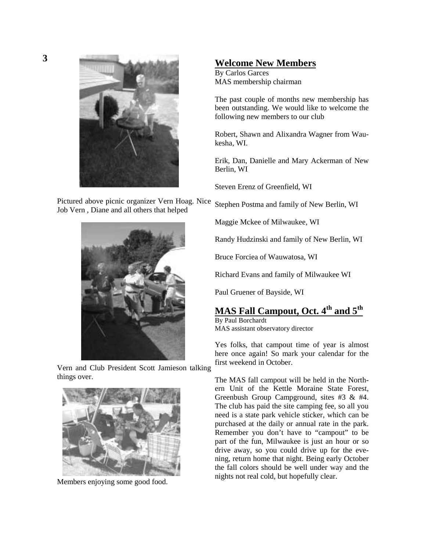

Pictured above picnic organizer Vern Hoag. Nice Job Vern , Diane and all others that helped



Vern and Club President Scott Jamieson talking things over.



Members enjoying some good food.

## **Welcome New Members**

By Carlos Garces MAS membership chairman

The past couple of months new membership has been outstanding. We would like to welcome the following new members to our club

Robert, Shawn and Alixandra Wagner from Waukesha, WI.

Erik, Dan, Danielle and Mary Ackerman of New Berlin, WI

Steven Erenz of Greenfield, WI

Stephen Postma and family of New Berlin, WI

Maggie Mckee of Milwaukee, WI

Randy Hudzinski and family of New Berlin, WI

Bruce Forciea of Wauwatosa, WI

Richard Evans and family of Milwaukee WI

Paul Gruener of Bayside, WI

# **MAS Fall Campout, Oct. 4th and 5th**

By Paul Borchardt MAS assistant observatory director

Yes folks, that campout time of year is almost here once again! So mark your calendar for the first weekend in October.

The MAS fall campout will be held in the Northern Unit of the Kettle Moraine State Forest, Greenbush Group Campground, sites #3 & #4. The club has paid the site camping fee, so all you need is a state park vehicle sticker, which can be purchased at the daily or annual rate in the park. Remember you don't have to "campout" to be part of the fun, Milwaukee is just an hour or so drive away, so you could drive up for the evening, return home that night. Being early October the fall colors should be well under way and the nights not real cold, but hopefully clear.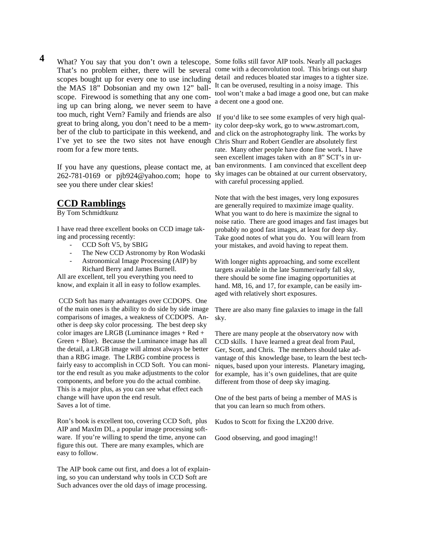What? You say that you don't own a telescope. Some folks still favor AIP tools. Nearly all packages That's no problem either, there will be several come with a deconvolution tool. This brings out sharp the MAS 18" Dobsonian and my own 12" ballscope. Firewood is something that any one coming up can bring along, we never seem to have too much, right Vern? Family and friends are also great to bring along, you don't need to be a member of the club to participate in this weekend, and I've yet to see the two sites not have enough Chris Shurr and Robert Gendler are absolutely first room for a few more tents.  **4** 

If you have any questions, please contact me, at 262-781-0169 or pjb924@yahoo.com; hope to see you there under clear skies!

## **CCD Ramblings**

By Tom Schmidtkunz

I have read three excellent books on CCD image taking and processing recently:

- CCD Soft V5, by SBIG
- The New CCD Astronomy by Ron Wodaski
- Astronomical Image Processing (AIP) by Richard Berry and James Burnell.

All are excellent, tell you everything you need to know, and explain it all in easy to follow examples.

 CCD Soft has many advantages over CCDOPS. One of the main ones is the ability to do side by side image comparisons of images, a weakness of CCDOPS. Another is deep sky color processing. The best deep sky color images are LRGB (Luminance images + Red + Green + Blue). Because the Luminance image has all the detail, a LRGB image will almost always be better than a RBG image. The LRBG combine process is fairly easy to accomplish in CCD Soft. You can monitor the end result as you make adjustments to the color components, and before you do the actual combine. This is a major plus, as you can see what effect each change will have upon the end result. Saves a lot of time.

Ron's book is excellent too, covering CCD Soft, plus AIP and MaxIm DL, a popular image processing software. If you're willing to spend the time, anyone can figure this out. There are many examples, which are easy to follow.

The AIP book came out first, and does a lot of explaining, so you can understand why tools in CCD Soft are Such advances over the old days of image processing.

scopes bought up for every one to use including detail and reduces bloated star images to a tighter size. It can be overused, resulting in a noisy image. This tool won't make a bad image a good one, but can make a decent one a good one.

> If you'd like to see some examples of very high quality color deep-sky work, go to www.astromart.com, and click on the astrophotography link. The works by rate. Many other people have done fine work. I have seen excellent images taken with an 8" SCT's in urban environments. I am convinced that excellent deep sky images can be obtained at our current observatory, with careful processing applied.

> Note that with the best images, very long exposures are generally required to maximize image quality. What you want to do here is maximize the signal to noise ratio. There are good images and fast images but probably no good fast images, at least for deep sky. Take good notes of what you do. You will learn from your mistakes, and avoid having to repeat them.

With longer nights approaching, and some excellent targets available in the late Summer/early fall sky, there should be some fine imaging opportunities at hand. M8, 16, and 17, for example, can be easily imaged with relatively short exposures.

There are also many fine galaxies to image in the fall sky.

There are many people at the observatory now with CCD skills. I have learned a great deal from Paul, Ger, Scott, and Chris. The members should take advantage of this knowledge base, to learn the best techniques, based upon your interests. Planetary imaging, for example, has it's own guidelines, that are quite different from those of deep sky imaging.

One of the best parts of being a member of MAS is that you can learn so much from others.

Kudos to Scott for fixing the LX200 drive.

Good observing, and good imaging!!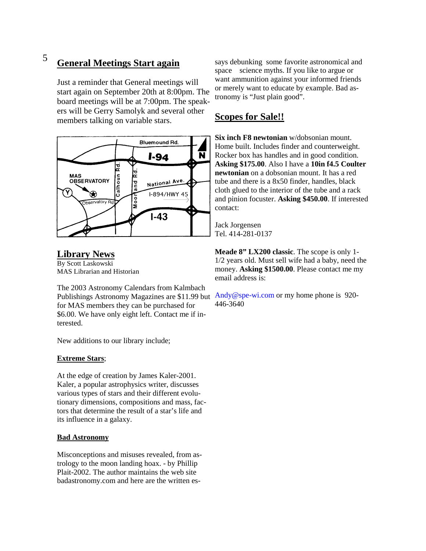#### **General Meetings Start again** 5

Just a reminder that General meetings will start again on September 20th at 8:00pm. The board meetings will be at 7:00pm. The speakers will be Gerry Samolyk and several other members talking on variable stars.



### **Library News** By Scott Laskowski MAS Librarian and Historian

The 2003 Astronomy Calendars from Kalmbach Publishings Astronomy Magazines are \$11.99 but Andy@spe-wi.com or my home phone is 920for MAS members they can be purchased for \$6.00. We have only eight left. Contact me if interested.

New additions to our library include;

### **Extreme Stars**;

At the edge of creation by James Kaler-2001. Kaler, a popular astrophysics writer, discusses various types of stars and their different evolutionary dimensions, compositions and mass, factors that determine the result of a star's life and its influence in a galaxy.

### **Bad Astronomy**

Misconceptions and misuses revealed, from astrology to the moon landing hoax. - by Phillip Plait-2002. The author maintains the web site badastronomy.com and here are the written essays debunking some favorite astronomical and space science myths. If you like to argue or want ammunition against your informed friends or merely want to educate by example. Bad astronomy is "Just plain good".

## **Scopes for Sale!!**

**Six inch F8 newtonian** w/dobsonian mount. Home built. Includes finder and counterweight. Rocker box has handles and in good condition. **Asking \$175.00**. Also I have a **10in f4.5 Coulter newtonian** on a dobsonian mount. It has a red tube and there is a 8x50 finder, handles, black cloth glued to the interior of the tube and a rack and pinion focuster. **Asking \$450.00**. If interested contact:

Jack Jorgensen Tel. 414-281-0137

**Meade 8" LX200 classic**. The scope is only 1- 1/2 years old. Must sell wife had a baby, need the money. **Asking \$1500.00**. Please contact me my email address is:

446-3640